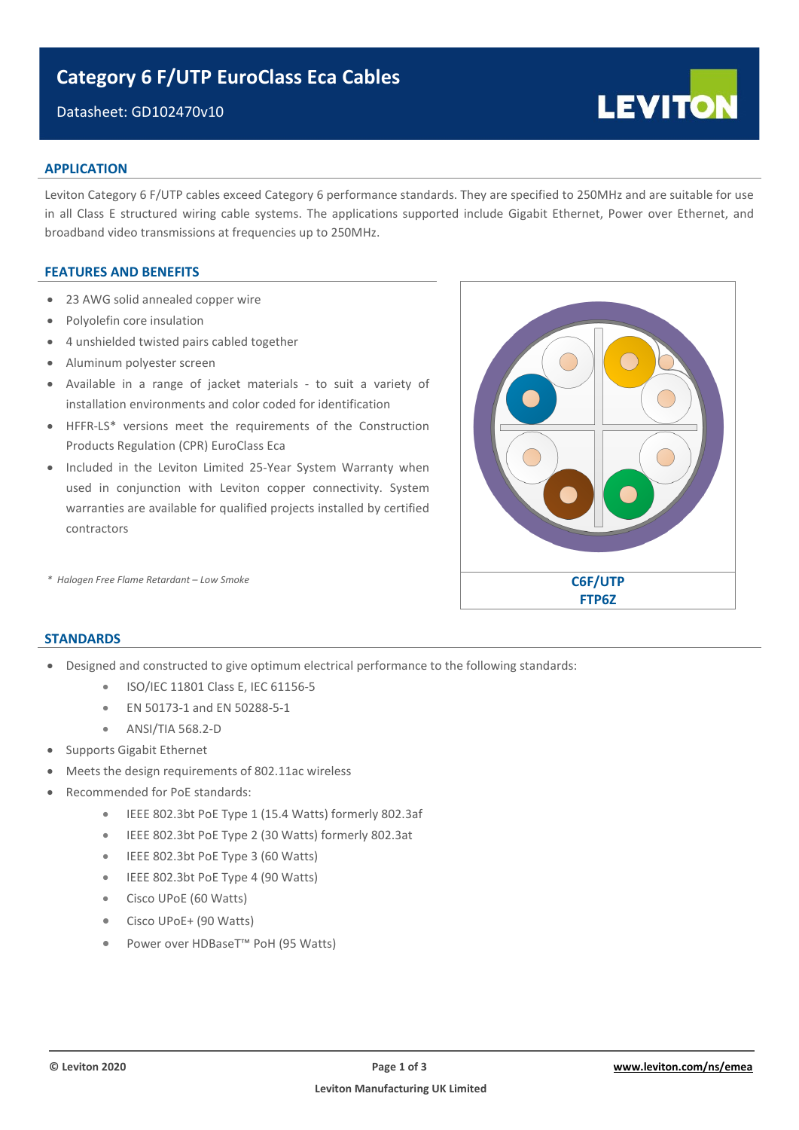# **Category 6 F/UTP EuroClass Eca Cables**

# Datasheet: GD102470v10

## **APPLICATION**

Leviton Category 6 F/UTP cables exceed Category 6 performance standards. They are specified to 250MHz and are suitable for use in all Class E structured wiring cable systems. The applications supported include Gigabit Ethernet, Power over Ethernet, and broadband video transmissions at frequencies up to 250MHz.

### **FEATURES AND BENEFITS**

- 23 AWG solid annealed copper wire
- Polyolefin core insulation
- 4 unshielded twisted pairs cabled together
- Aluminum polyester screen
- Available in a range of jacket materials to suit a variety of installation environments and color coded for identification
- HFFR-LS\* versions meet the requirements of the Construction Products Regulation (CPR) EuroClass Eca
- Included in the Leviton Limited 25-Year System Warranty when used in conjunction with Leviton copper connectivity. System warranties are available for qualified projects installed by certified contractors



**LEVITON** 

# **STANDARDS**

- Designed and constructed to give optimum electrical performance to the following standards:
	- ISO/IEC 11801 Class E, IEC 61156-5
	- EN 50173-1 and EN 50288-5-1
	- ANSI/TIA 568.2-D
- Supports Gigabit Ethernet
- Meets the design requirements of 802.11ac wireless
- Recommended for PoE standards:
	- IEEE 802.3bt PoE Type 1 (15.4 Watts) formerly 802.3af
	- IEEE 802.3bt PoE Type 2 (30 Watts) formerly 802.3at
	- IEEE 802.3bt PoE Type 3 (60 Watts)
	- IEEE 802.3bt PoE Type 4 (90 Watts)
	- Cisco UPoE (60 Watts)
	- Cisco UPoE+ (90 Watts)
	- Power over HDBaseT™ PoH (95 Watts)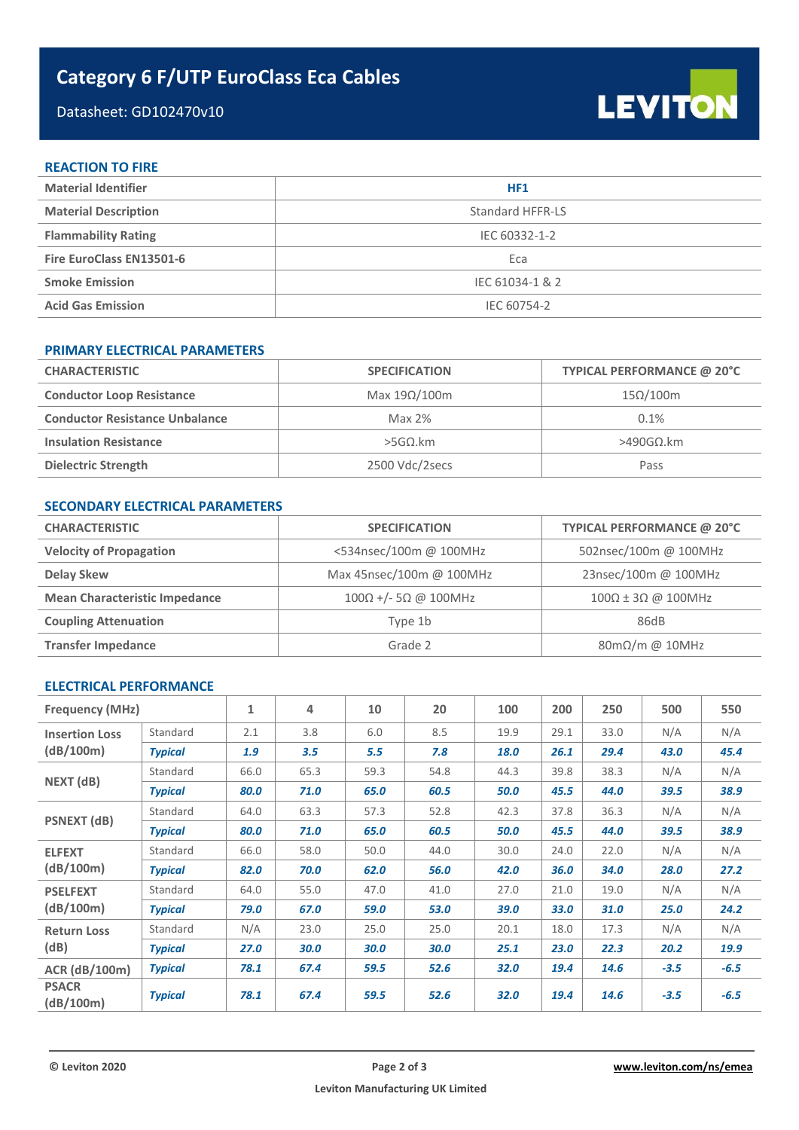# **Category 6 F/UTP EuroClass Eca Cables**

# Datasheet: GD102470v10

LEVITON

### **REACTION TO FIRE**

| <b>Material Identifier</b>  | HF1              |
|-----------------------------|------------------|
| <b>Material Description</b> | Standard HFFR-LS |
| <b>Flammability Rating</b>  | IEC 60332-1-2    |
| Fire EuroClass EN13501-6    | Eca              |
| <b>Smoke Emission</b>       | IEC 61034-1 & 2  |
| <b>Acid Gas Emission</b>    | IEC 60754-2      |

# **PRIMARY ELECTRICAL PARAMETERS**

| <b>CHARACTERISTIC</b>                 | <b>SPECIFICATION</b> | TYPICAL PERFORMANCE @ 20°C |
|---------------------------------------|----------------------|----------------------------|
| <b>Conductor Loop Resistance</b>      | Max $19\Omega/100m$  | $15\Omega/100m$            |
| <b>Conductor Resistance Unbalance</b> | Max $2%$             | 0.1%                       |
| <b>Insulation Resistance</b>          | $>$ 5GΩ.km           | $>490$ GΩ.km               |
| <b>Dielectric Strength</b>            | 2500 Vdc/2secs       | Pass                       |

# **SECONDARY ELECTRICAL PARAMETERS**

| <b>CHARACTERISTIC</b>                | <b>SPECIFICATION</b>                | TYPICAL PERFORMANCE @ 20°C           |  |  |
|--------------------------------------|-------------------------------------|--------------------------------------|--|--|
| <b>Velocity of Propagation</b>       | <534nsec/100m @ 100MHz              | 502nsec/100m @ 100MHz                |  |  |
| <b>Delay Skew</b>                    | Max 45nsec/100m @ 100MHz            | 23nsec/100m @ 100MHz                 |  |  |
| <b>Mean Characteristic Impedance</b> | $100\Omega$ +/- 5 $\Omega$ @ 100MHz | $100\Omega \pm 3\Omega$ @ 100MHz     |  |  |
| <b>Coupling Attenuation</b>          | Type 1b                             | 86dB                                 |  |  |
| <b>Transfer Impedance</b>            | Grade 2                             | $80 \text{m}\Omega/\text{m}$ @ 10MHz |  |  |

## **ELECTRICAL PERFORMANCE**

| <b>Frequency (MHz)</b>    |                | $\mathbf{1}$ | 4    | 10   | 20   | 100  | 200  | 250  | 500    | 550    |
|---------------------------|----------------|--------------|------|------|------|------|------|------|--------|--------|
| <b>Insertion Loss</b>     | Standard       | 2.1          | 3.8  | 6.0  | 8.5  | 19.9 | 29.1 | 33.0 | N/A    | N/A    |
| (dB/100m)                 | <b>Typical</b> | 1.9          | 3.5  | 5.5  | 7.8  | 18.0 | 26.1 | 29.4 | 43.0   | 45.4   |
|                           | Standard       | 66.0         | 65.3 | 59.3 | 54.8 | 44.3 | 39.8 | 38.3 | N/A    | N/A    |
| NEXT (dB)                 | <b>Typical</b> | 80.0         | 71.0 | 65.0 | 60.5 | 50.0 | 45.5 | 44.0 | 39.5   | 38.9   |
| <b>PSNEXT</b> (dB)        | Standard       | 64.0         | 63.3 | 57.3 | 52.8 | 42.3 | 37.8 | 36.3 | N/A    | N/A    |
|                           | <b>Typical</b> | 80.0         | 71.0 | 65.0 | 60.5 | 50.0 | 45.5 | 44.0 | 39.5   | 38.9   |
| <b>ELFEXT</b>             | Standard       | 66.0         | 58.0 | 50.0 | 44.0 | 30.0 | 24.0 | 22.0 | N/A    | N/A    |
| (dB/100m)                 | <b>Typical</b> | 82.0         | 70.0 | 62.0 | 56.0 | 42.0 | 36.0 | 34.0 | 28.0   | 27.2   |
| <b>PSELFEXT</b>           | Standard       | 64.0         | 55.0 | 47.0 | 41.0 | 27.0 | 21.0 | 19.0 | N/A    | N/A    |
| (dB/100m)                 | <b>Typical</b> | 79.0         | 67.0 | 59.0 | 53.0 | 39.0 | 33.0 | 31.0 | 25.0   | 24.2   |
| <b>Return Loss</b>        | Standard       | N/A          | 23.0 | 25.0 | 25.0 | 20.1 | 18.0 | 17.3 | N/A    | N/A    |
| (dB)                      | <b>Typical</b> | 27.0         | 30.0 | 30.0 | 30.0 | 25.1 | 23.0 | 22.3 | 20.2   | 19.9   |
| ACR (dB/100m)             | <b>Typical</b> | 78.1         | 67.4 | 59.5 | 52.6 | 32.0 | 19.4 | 14.6 | $-3.5$ | $-6.5$ |
| <b>PSACR</b><br>(dB/100m) | <b>Typical</b> | 78.1         | 67.4 | 59.5 | 52.6 | 32.0 | 19.4 | 14.6 | $-3.5$ | $-6.5$ |